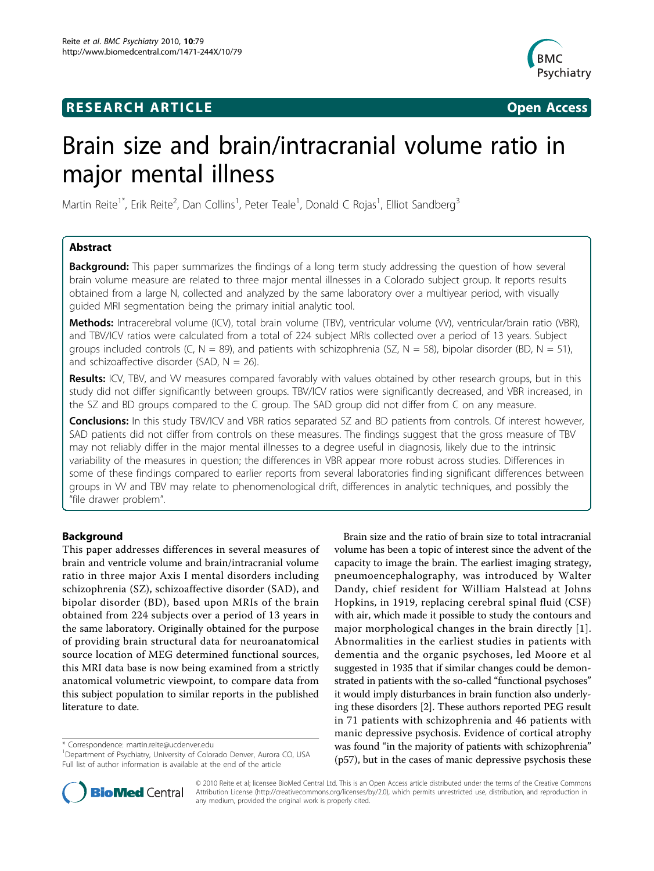## **RESEARCH ARTICLE Example 2018 12:30 THE Open Access**



# Brain size and brain/intracranial volume ratio in major mental illness

Martin Reite<sup>1\*</sup>, Erik Reite<sup>2</sup>, Dan Collins<sup>1</sup>, Peter Teale<sup>1</sup>, Donald C Rojas<sup>1</sup>, Elliot Sandberg<sup>3</sup>

## Abstract

**Background:** This paper summarizes the findings of a long term study addressing the question of how several brain volume measure are related to three major mental illnesses in a Colorado subject group. It reports results obtained from a large N, collected and analyzed by the same laboratory over a multiyear period, with visually guided MRI segmentation being the primary initial analytic tool.

Methods: Intracerebral volume (ICV), total brain volume (TBV), ventricular volume (W), ventricular/brain ratio (VBR), and TBV/ICV ratios were calculated from a total of 224 subject MRIs collected over a period of 13 years. Subject groups included controls (C, N = 89), and patients with schizophrenia (SZ, N = 58), bipolar disorder (BD, N = 51), and schizoaffective disorder (SAD,  $N = 26$ ).

Results: ICV, TBV, and W measures compared favorably with values obtained by other research groups, but in this study did not differ significantly between groups. TBV/ICV ratios were significantly decreased, and VBR increased, in the SZ and BD groups compared to the C group. The SAD group did not differ from C on any measure.

Conclusions: In this study TBV/ICV and VBR ratios separated SZ and BD patients from controls. Of interest however, SAD patients did not differ from controls on these measures. The findings suggest that the gross measure of TBV may not reliably differ in the major mental illnesses to a degree useful in diagnosis, likely due to the intrinsic variability of the measures in question; the differences in VBR appear more robust across studies. Differences in some of these findings compared to earlier reports from several laboratories finding significant differences between groups in VV and TBV may relate to phenomenological drift, differences in analytic techniques, and possibly the "file drawer problem".

## Background

This paper addresses differences in several measures of brain and ventricle volume and brain/intracranial volume ratio in three major Axis I mental disorders including schizophrenia (SZ), schizoaffective disorder (SAD), and bipolar disorder (BD), based upon MRIs of the brain obtained from 224 subjects over a period of 13 years in the same laboratory. Originally obtained for the purpose of providing brain structural data for neuroanatomical source location of MEG determined functional sources, this MRI data base is now being examined from a strictly anatomical volumetric viewpoint, to compare data from this subject population to similar reports in the published literature to date.

\* Correspondence: [martin.reite@ucdenver.edu](mailto:martin.reite@ucdenver.edu)

Brain size and the ratio of brain size to total intracranial volume has been a topic of interest since the advent of the capacity to image the brain. The earliest imaging strategy, pneumoencephalography, was introduced by Walter Dandy, chief resident for William Halstead at Johns Hopkins, in 1919, replacing cerebral spinal fluid (CSF) with air, which made it possible to study the contours and major morphological changes in the brain directly [[1](#page-7-0)]. Abnormalities in the earliest studies in patients with dementia and the organic psychoses, led Moore et al suggested in 1935 that if similar changes could be demonstrated in patients with the so-called "functional psychoses" it would imply disturbances in brain function also underlying these disorders [[2\]](#page-7-0). These authors reported PEG result in 71 patients with schizophrenia and 46 patients with manic depressive psychosis. Evidence of cortical atrophy was found "in the majority of patients with schizophrenia" (p57), but in the cases of manic depressive psychosis these



© 2010 Reite et al; licensee BioMed Central Ltd. This is an Open Access article distributed under the terms of the Creative Commons Attribution License [\(http://creativecommons.org/licenses/by/2.0](http://creativecommons.org/licenses/by/2.0)), which permits unrestricted use, distribution, and reproduction in any medium, provided the original work is properly cited.

<sup>&</sup>lt;sup>1</sup>Department of Psychiatry, University of Colorado Denver, Aurora CO, USA Full list of author information is available at the end of the article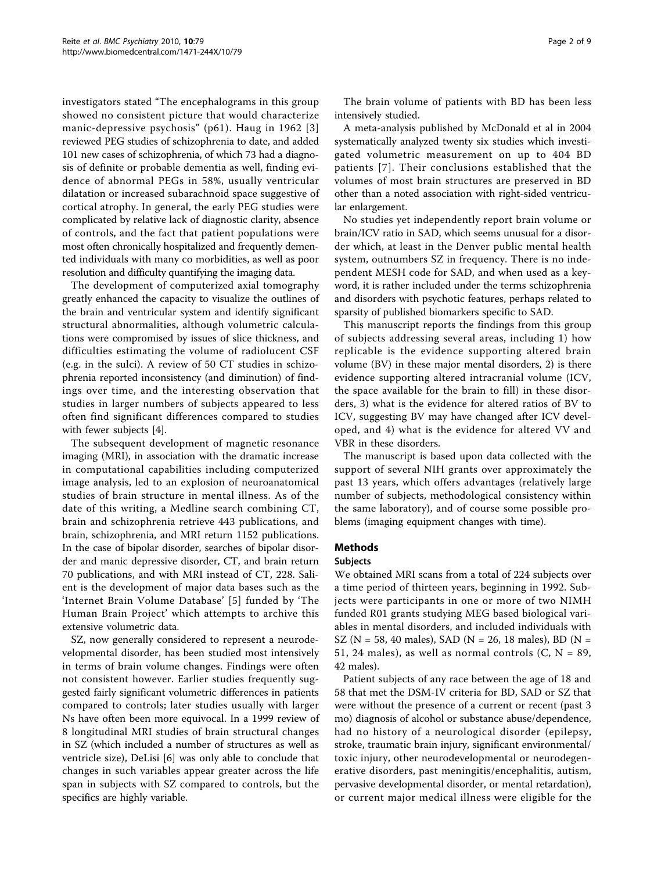investigators stated "The encephalograms in this group showed no consistent picture that would characterize manic-depressive psychosis" (p61). Haug in 1962 [[3](#page-7-0)] reviewed PEG studies of schizophrenia to date, and added 101 new cases of schizophrenia, of which 73 had a diagnosis of definite or probable dementia as well, finding evidence of abnormal PEGs in 58%, usually ventricular dilatation or increased subarachnoid space suggestive of cortical atrophy. In general, the early PEG studies were complicated by relative lack of diagnostic clarity, absence of controls, and the fact that patient populations were most often chronically hospitalized and frequently demented individuals with many co morbidities, as well as poor resolution and difficulty quantifying the imaging data.

The development of computerized axial tomography greatly enhanced the capacity to visualize the outlines of the brain and ventricular system and identify significant structural abnormalities, although volumetric calculations were compromised by issues of slice thickness, and difficulties estimating the volume of radiolucent CSF (e.g. in the sulci). A review of 50 CT studies in schizophrenia reported inconsistency (and diminution) of findings over time, and the interesting observation that studies in larger numbers of subjects appeared to less often find significant differences compared to studies with fewer subjects [[4\]](#page-7-0).

The subsequent development of magnetic resonance imaging (MRI), in association with the dramatic increase in computational capabilities including computerized image analysis, led to an explosion of neuroanatomical studies of brain structure in mental illness. As of the date of this writing, a Medline search combining CT, brain and schizophrenia retrieve 443 publications, and brain, schizophrenia, and MRI return 1152 publications. In the case of bipolar disorder, searches of bipolar disorder and manic depressive disorder, CT, and brain return 70 publications, and with MRI instead of CT, 228. Salient is the development of major data bases such as the 'Internet Brain Volume Database' [\[5\]](#page-7-0) funded by 'The Human Brain Project' which attempts to archive this extensive volumetric data.

SZ, now generally considered to represent a neurodevelopmental disorder, has been studied most intensively in terms of brain volume changes. Findings were often not consistent however. Earlier studies frequently suggested fairly significant volumetric differences in patients compared to controls; later studies usually with larger Ns have often been more equivocal. In a 1999 review of 8 longitudinal MRI studies of brain structural changes in SZ (which included a number of structures as well as ventricle size), DeLisi [[6\]](#page-7-0) was only able to conclude that changes in such variables appear greater across the life span in subjects with SZ compared to controls, but the specifics are highly variable.

The brain volume of patients with BD has been less intensively studied.

A meta-analysis published by McDonald et al in 2004 systematically analyzed twenty six studies which investigated volumetric measurement on up to 404 BD patients [[7](#page-7-0)]. Their conclusions established that the volumes of most brain structures are preserved in BD other than a noted association with right-sided ventricular enlargement.

No studies yet independently report brain volume or brain/ICV ratio in SAD, which seems unusual for a disorder which, at least in the Denver public mental health system, outnumbers SZ in frequency. There is no independent MESH code for SAD, and when used as a keyword, it is rather included under the terms schizophrenia and disorders with psychotic features, perhaps related to sparsity of published biomarkers specific to SAD.

This manuscript reports the findings from this group of subjects addressing several areas, including 1) how replicable is the evidence supporting altered brain volume (BV) in these major mental disorders, 2) is there evidence supporting altered intracranial volume (ICV, the space available for the brain to fill) in these disorders, 3) what is the evidence for altered ratios of BV to ICV, suggesting BV may have changed after ICV developed, and 4) what is the evidence for altered VV and VBR in these disorders.

The manuscript is based upon data collected with the support of several NIH grants over approximately the past 13 years, which offers advantages (relatively large number of subjects, methodological consistency within the same laboratory), and of course some possible problems (imaging equipment changes with time).

## Methods

#### Subjects

We obtained MRI scans from a total of 224 subjects over a time period of thirteen years, beginning in 1992. Subjects were participants in one or more of two NIMH funded R01 grants studying MEG based biological variables in mental disorders, and included individuals with SZ (N = 58, 40 males), SAD (N = 26, 18 males), BD (N = 51, 24 males), as well as normal controls  $(C, N = 89,$ 42 males).

Patient subjects of any race between the age of 18 and 58 that met the DSM-IV criteria for BD, SAD or SZ that were without the presence of a current or recent (past 3 mo) diagnosis of alcohol or substance abuse/dependence, had no history of a neurological disorder (epilepsy, stroke, traumatic brain injury, significant environmental/ toxic injury, other neurodevelopmental or neurodegenerative disorders, past meningitis/encephalitis, autism, pervasive developmental disorder, or mental retardation), or current major medical illness were eligible for the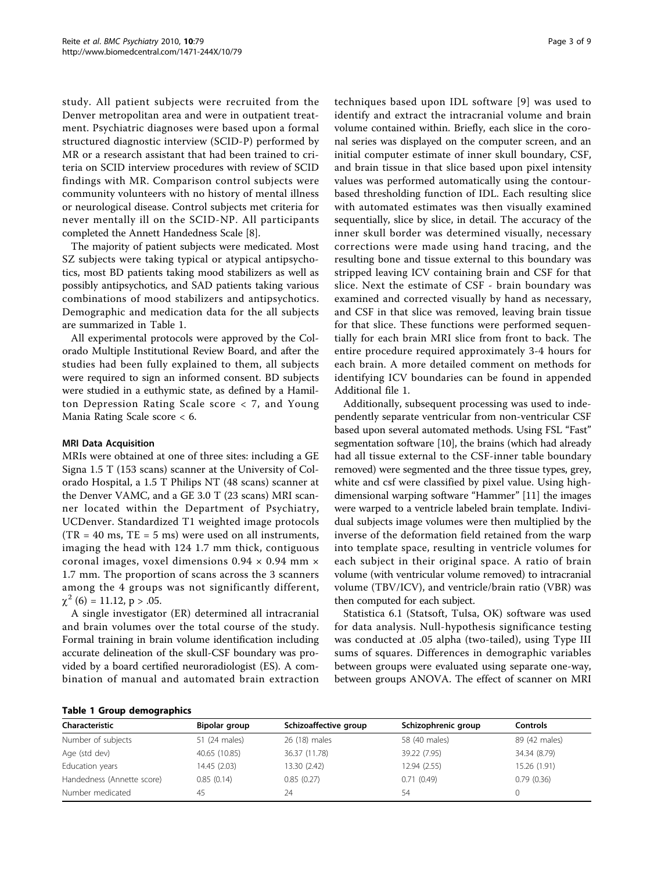study. All patient subjects were recruited from the Denver metropolitan area and were in outpatient treatment. Psychiatric diagnoses were based upon a formal structured diagnostic interview (SCID-P) performed by MR or a research assistant that had been trained to criteria on SCID interview procedures with review of SCID findings with MR. Comparison control subjects were community volunteers with no history of mental illness or neurological disease. Control subjects met criteria for never mentally ill on the SCID-NP. All participants completed the Annett Handedness Scale [\[8\]](#page-7-0).

The majority of patient subjects were medicated. Most SZ subjects were taking typical or atypical antipsychotics, most BD patients taking mood stabilizers as well as possibly antipsychotics, and SAD patients taking various combinations of mood stabilizers and antipsychotics. Demographic and medication data for the all subjects are summarized in Table 1.

All experimental protocols were approved by the Colorado Multiple Institutional Review Board, and after the studies had been fully explained to them, all subjects were required to sign an informed consent. BD subjects were studied in a euthymic state, as defined by a Hamilton Depression Rating Scale score < 7, and Young Mania Rating Scale score < 6.

#### MRI Data Acquisition

MRIs were obtained at one of three sites: including a GE Signa 1.5 T (153 scans) scanner at the University of Colorado Hospital, a 1.5 T Philips NT (48 scans) scanner at the Denver VAMC, and a GE 3.0 T (23 scans) MRI scanner located within the Department of Psychiatry, UCDenver. Standardized T1 weighted image protocols  $(TR = 40 \text{ ms}, TE = 5 \text{ ms})$  were used on all instruments, imaging the head with 124 1.7 mm thick, contiguous coronal images, voxel dimensions  $0.94 \times 0.94$  mm  $\times$ 1.7 mm. The proportion of scans across the 3 scanners among the 4 groups was not significantly different,  $\chi^2$  (6) = 11.12, p > .05.

A single investigator (ER) determined all intracranial and brain volumes over the total course of the study. Formal training in brain volume identification including accurate delineation of the skull-CSF boundary was provided by a board certified neuroradiologist (ES). A combination of manual and automated brain extraction techniques based upon IDL software [[9\]](#page-7-0) was used to identify and extract the intracranial volume and brain volume contained within. Briefly, each slice in the coronal series was displayed on the computer screen, and an initial computer estimate of inner skull boundary, CSF, and brain tissue in that slice based upon pixel intensity values was performed automatically using the contourbased thresholding function of IDL. Each resulting slice with automated estimates was then visually examined sequentially, slice by slice, in detail. The accuracy of the inner skull border was determined visually, necessary corrections were made using hand tracing, and the resulting bone and tissue external to this boundary was stripped leaving ICV containing brain and CSF for that slice. Next the estimate of CSF - brain boundary was examined and corrected visually by hand as necessary, and CSF in that slice was removed, leaving brain tissue for that slice. These functions were performed sequentially for each brain MRI slice from front to back. The entire procedure required approximately 3-4 hours for each brain. A more detailed comment on methods for identifying ICV boundaries can be found in appended Additional file [1](#page-7-0).

Additionally, subsequent processing was used to independently separate ventricular from non-ventricular CSF based upon several automated methods. Using FSL "Fast" segmentation software [\[10](#page-7-0)], the brains (which had already had all tissue external to the CSF-inner table boundary removed) were segmented and the three tissue types, grey, white and csf were classified by pixel value. Using highdimensional warping software "Hammer" [\[11\]](#page-7-0) the images were warped to a ventricle labeled brain template. Individual subjects image volumes were then multiplied by the inverse of the deformation field retained from the warp into template space, resulting in ventricle volumes for each subject in their original space. A ratio of brain volume (with ventricular volume removed) to intracranial volume (TBV/ICV), and ventricle/brain ratio (VBR) was then computed for each subject.

Statistica 6.1 (Statsoft, Tulsa, OK) software was used for data analysis. Null-hypothesis significance testing was conducted at .05 alpha (two-tailed), using Type III sums of squares. Differences in demographic variables between groups were evaluated using separate one-way, between groups ANOVA. The effect of scanner on MRI

|  |  |  | Table 1 Group demographics |
|--|--|--|----------------------------|
|--|--|--|----------------------------|

| Characteristic             | Bipolar group | Schizoaffective group | Schizophrenic group | <b>Controls</b> |  |  |
|----------------------------|---------------|-----------------------|---------------------|-----------------|--|--|
| Number of subjects         | 51 (24 males) | 26 (18) males         | 58 (40 males)       | 89 (42 males)   |  |  |
| Age (std dev)              | 40.65 (10.85) | 36.37 (11.78)         | 39.22 (7.95)        | 34.34 (8.79)    |  |  |
| Education years            | 14.45 (2.03)  | 13.30 (2.42)          | 12.94 (2.55)        | 15.26 (1.91)    |  |  |
| Handedness (Annette score) | 0.85(0.14)    | 0.85(0.27)            | 0.71(0.49)          | 0.79(0.36)      |  |  |
| Number medicated           | 45            | 24                    | 54                  |                 |  |  |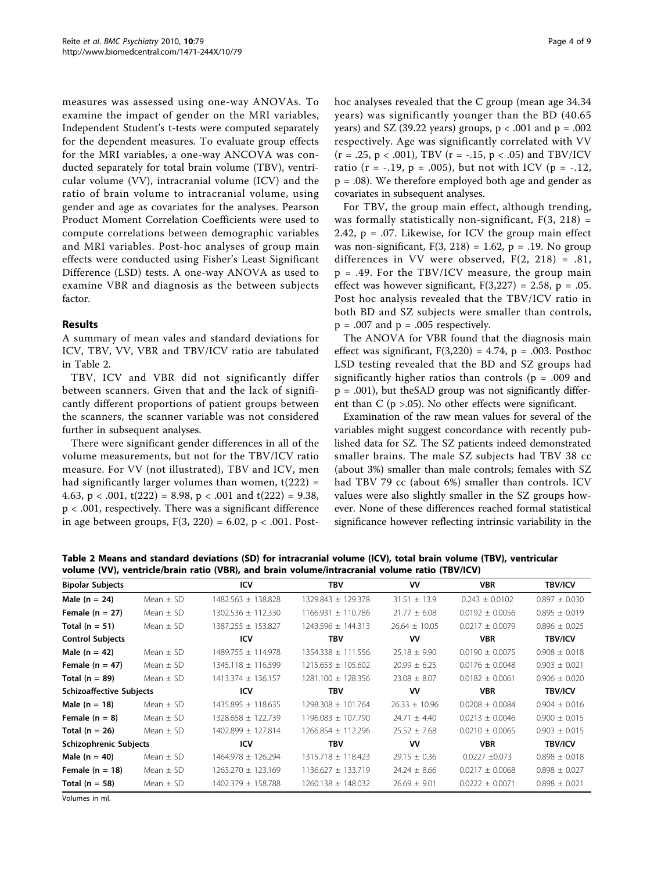measures was assessed using one-way ANOVAs. To examine the impact of gender on the MRI variables, Independent Student's t-tests were computed separately for the dependent measures. To evaluate group effects for the MRI variables, a one-way ANCOVA was conducted separately for total brain volume (TBV), ventricular volume (VV), intracranial volume (ICV) and the ratio of brain volume to intracranial volume, using gender and age as covariates for the analyses. Pearson Product Moment Correlation Coefficients were used to compute correlations between demographic variables and MRI variables. Post-hoc analyses of group main effects were conducted using Fisher's Least Significant Difference (LSD) tests. A one-way ANOVA as used to examine VBR and diagnosis as the between subjects factor.

## Results

A summary of mean vales and standard deviations for ICV, TBV, VV, VBR and TBV/ICV ratio are tabulated in Table 2.

TBV, ICV and VBR did not significantly differ between scanners. Given that and the lack of significantly different proportions of patient groups between the scanners, the scanner variable was not considered further in subsequent analyses.

There were significant gender differences in all of the volume measurements, but not for the TBV/ICV ratio measure. For VV (not illustrated), TBV and ICV, men had significantly larger volumes than women,  $t(222)$  = 4.63,  $p < .001$ ,  $t(222) = 8.98$ ,  $p < .001$  and  $t(222) = 9.38$ , p < .001, respectively. There was a significant difference in age between groups,  $F(3, 220) = 6.02$ ,  $p < .001$ . Posthoc analyses revealed that the C group (mean age 34.34 years) was significantly younger than the BD (40.65 years) and SZ (39.22 years) groups,  $p < .001$  and  $p = .002$ respectively. Age was significantly correlated with VV  $(r = .25, p < .001)$ , TBV  $(r = -.15, p < .05)$  and TBV/ICV ratio (r = -.19, p = .005), but not with ICV (p = -.12, p = .08). We therefore employed both age and gender as covariates in subsequent analyses.

For TBV, the group main effect, although trending, was formally statistically non-significant,  $F(3, 218) =$ 2.42, p = .07. Likewise, for ICV the group main effect was non-significant,  $F(3, 218) = 1.62$ ,  $p = .19$ . No group differences in VV were observed, F(2, 218) = .81, p = .49. For the TBV/ICV measure, the group main effect was however significant,  $F(3,227) = 2.58$ ,  $p = .05$ . Post hoc analysis revealed that the TBV/ICV ratio in both BD and SZ subjects were smaller than controls,  $p = .007$  and  $p = .005$  respectively.

The ANOVA for VBR found that the diagnosis main effect was significant,  $F(3,220) = 4.74$ ,  $p = .003$ . Posthoc LSD testing revealed that the BD and SZ groups had significantly higher ratios than controls ( $p = .009$  and  $p = .001$ ), but theSAD group was not significantly different than  $C$  ( $p > .05$ ). No other effects were significant.

Examination of the raw mean values for several of the variables might suggest concordance with recently published data for SZ. The SZ patients indeed demonstrated smaller brains. The male SZ subjects had TBV 38 cc (about 3%) smaller than male controls; females with SZ had TBV 79 cc (about 6%) smaller than controls. ICV values were also slightly smaller in the SZ groups however. None of these differences reached formal statistical significance however reflecting intrinsic variability in the

Table 2 Means and standard deviations (SD) for intracranial volume (ICV), total brain volume (TBV), ventricular volume (VV), ventricle/brain ratio (VBR), and brain volume/intracranial volume ratio (TBV/ICV)

| <b>Bipolar Subjects</b>         |               | <b>ICV</b>         | <b>TBV</b>             | <b>VV</b>         | <b>VBR</b>          | <b>TBV/ICV</b>    |
|---------------------------------|---------------|--------------------|------------------------|-------------------|---------------------|-------------------|
| Male $(n = 24)$                 | Mean $\pm$ SD | 1482.563 ± 138.828 | 1329.843 ± 129.378     | $31.51 \pm 13.9$  | $0.243 \pm 0.0102$  | $0.897 \pm 0.030$ |
| Female $(n = 27)$               | Mean $\pm$ SD | 1302.536 ± 112.330 | $1166.931 \pm 110.786$ | $21.77 \pm 6.08$  | $0.0192 \pm 0.0056$ | $0.895 \pm 0.019$ |
| Total $(n = 51)$                | Mean $\pm$ SD | 1387.255 ± 153.827 | 1243.596 ± 144.313     | $26.64 \pm 10.05$ | $0.0217 \pm 0.0079$ | $0.896 \pm 0.025$ |
| <b>Control Subjects</b>         |               | <b>ICV</b>         | <b>TBV</b>             | ۷V                | <b>VBR</b>          | <b>TBV/ICV</b>    |
| Male $(n = 42)$                 | Mean $\pm$ SD | 1489.755 ± 114.978 | 1354.338 + 111.556     | $25.18 \pm 9.90$  | $0.0190 \pm 0.0075$ | $0.908 \pm 0.018$ |
| Female $(n = 47)$               | Mean $\pm$ SD | 1345.118 ± 116.599 | $1215.653 \pm 105.602$ | $20.99 \pm 6.25$  | $0.0176 \pm 0.0048$ | $0.903 \pm 0.021$ |
| Total $(n = 89)$                | Mean $\pm$ SD | 1413.374 ± 136.157 | 1281.100 ± 128.356     | $23.08 \pm 8.07$  | $0.0182 \pm 0.0061$ | $0.906 \pm 0.020$ |
| <b>Schizoaffective Subjects</b> |               | <b>ICV</b>         | <b>TBV</b>             | <b>VV</b>         | <b>VBR</b>          | <b>TBV/ICV</b>    |
| Male $(n = 18)$                 | Mean $\pm$ SD | 1435.895 ± 118.635 | 1298.308 ± 101.764     | $26.33 \pm 10.96$ | $0.0208 \pm 0.0084$ | $0.904 \pm 0.016$ |
| Female $(n = 8)$                | Mean $\pm$ SD | 1328.658 ± 122.739 | 1196.083 ± 107.790     | $24.71 \pm 4.40$  | $0.0213 \pm 0.0046$ | $0.900 \pm 0.015$ |
| Total ( $n = 26$ )              | Mean $\pm$ SD | 1402.899 ± 127.814 | 1266.854 ± 112.296     | $25.52 \pm 7.68$  | $0.0210 \pm 0.0065$ | $0.903 \pm 0.015$ |
| Schizophrenic Subjects          |               | <b>ICV</b>         | <b>TBV</b>             | VV                | <b>VBR</b>          | <b>TBV/ICV</b>    |
| Male $(n = 40)$                 | Mean $\pm$ SD | 1464.978 ± 126.294 | 1315.718 ± 118.423     | $29.15 \pm 0.36$  | $0.0227 + 0.073$    | $0.898 \pm 0.018$ |
| Female $(n = 18)$               | Mean $\pm$ SD | 1263.270 ± 123.169 | 1136.627 ± 133.719     | $24.24 \pm 8.66$  | $0.0217 \pm 0.0068$ | $0.898 \pm 0.027$ |
| Total $(n = 58)$                | Mean $\pm$ SD | 1402.379 ± 158.788 | 1260.138 ± 148.032     | $26.69 \pm 9.01$  | $0.0222 \pm 0.0071$ | $0.898 \pm 0.021$ |

Volumes in ml.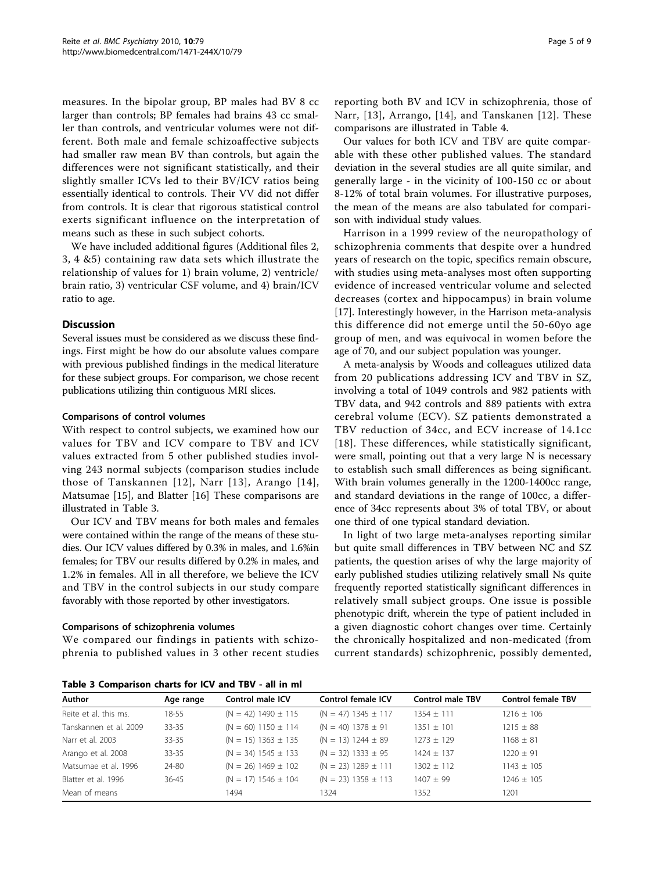measures. In the bipolar group, BP males had BV 8 cc larger than controls; BP females had brains 43 cc smaller than controls, and ventricular volumes were not different. Both male and female schizoaffective subjects had smaller raw mean BV than controls, but again the differences were not significant statistically, and their slightly smaller ICVs led to their BV/ICV ratios being essentially identical to controls. Their VV did not differ from controls. It is clear that rigorous statistical control exerts significant influence on the interpretation of means such as these in such subject cohorts.

We have included additional figures (Additional files [2](#page-7-0), [3, 4](#page-7-0) [&5\)](#page-7-0) containing raw data sets which illustrate the relationship of values for 1) brain volume, 2) ventricle/ brain ratio, 3) ventricular CSF volume, and 4) brain/ICV ratio to age.

## Discussion

Several issues must be considered as we discuss these findings. First might be how do our absolute values compare with previous published findings in the medical literature for these subject groups. For comparison, we chose recent publications utilizing thin contiguous MRI slices.

#### Comparisons of control volumes

With respect to control subjects, we examined how our values for TBV and ICV compare to TBV and ICV values extracted from 5 other published studies involving 243 normal subjects (comparison studies include those of Tanskannen [[12\]](#page-7-0), Narr [[13](#page-7-0)], Arango [[14\]](#page-7-0), Matsumae [\[15](#page-7-0)], and Blatter [[16\]](#page-7-0) These comparisons are illustrated in Table 3.

Our ICV and TBV means for both males and females were contained within the range of the means of these studies. Our ICV values differed by 0.3% in males, and 1.6%in females; for TBV our results differed by 0.2% in males, and 1.2% in females. All in all therefore, we believe the ICV and TBV in the control subjects in our study compare favorably with those reported by other investigators.

#### Comparisons of schizophrenia volumes

We compared our findings in patients with schizophrenia to published values in 3 other recent studies

reporting both BV and ICV in schizophrenia, those of Narr, [[13\]](#page-7-0), Arrango, [[14](#page-7-0)], and Tanskanen [[12\]](#page-7-0). These comparisons are illustrated in Table [4](#page-5-0).

Our values for both ICV and TBV are quite comparable with these other published values. The standard deviation in the several studies are all quite similar, and generally large - in the vicinity of 100-150 cc or about 8-12% of total brain volumes. For illustrative purposes, the mean of the means are also tabulated for comparison with individual study values.

Harrison in a 1999 review of the neuropathology of schizophrenia comments that despite over a hundred years of research on the topic, specifics remain obscure, with studies using meta-analyses most often supporting evidence of increased ventricular volume and selected decreases (cortex and hippocampus) in brain volume [[17\]](#page-7-0). Interestingly however, in the Harrison meta-analysis this difference did not emerge until the 50-60yo age group of men, and was equivocal in women before the age of 70, and our subject population was younger.

A meta-analysis by Woods and colleagues utilized data from 20 publications addressing ICV and TBV in SZ, involving a total of 1049 controls and 982 patients with TBV data, and 942 controls and 889 patients with extra cerebral volume (ECV). SZ patients demonstrated a TBV reduction of 34cc, and ECV increase of 14.1cc [[18\]](#page-7-0). These differences, while statistically significant, were small, pointing out that a very large N is necessary to establish such small differences as being significant. With brain volumes generally in the 1200-1400cc range, and standard deviations in the range of 100cc, a difference of 34cc represents about 3% of total TBV, or about one third of one typical standard deviation.

In light of two large meta-analyses reporting similar but quite small differences in TBV between NC and SZ patients, the question arises of why the large majority of early published studies utilizing relatively small Ns quite frequently reported statistically significant differences in relatively small subject groups. One issue is possible phenotypic drift, wherein the type of patient included in a given diagnostic cohort changes over time. Certainly the chronically hospitalized and non-medicated (from current standards) schizophrenic, possibly demented,

Table 3 Comparison charts for ICV and TBV - all in ml

| Author                 | Age range | Control male ICV          | <b>Control female ICV</b> | <b>Control male TBV</b> | <b>Control female TBV</b> |  |  |
|------------------------|-----------|---------------------------|---------------------------|-------------------------|---------------------------|--|--|
| Reite et al. this ms.  | $18 - 55$ | $(N = 42)$ 1490 $\pm$ 115 | $(N = 47)$ 1345 $\pm$ 117 | $1354 \pm 111$          | $1216 \pm 106$            |  |  |
| Tanskannen et al. 2009 | $33 - 35$ | $(N = 60)$ 1150 $\pm$ 114 | $(N = 40)$ 1378 ± 91      | $1351 \pm 101$          | $1215 \pm 88$             |  |  |
| Narr et al. 2003       | $33 - 35$ | $(N = 15)$ 1363 $\pm$ 135 | $(N = 13)$ 1244 $\pm$ 89  | $1273 \pm 129$          | $1168 \pm 81$             |  |  |
| Arango et al. 2008     | $33 - 35$ | $(N = 34)$ 1545 $\pm$ 133 | $(N = 32)$ 1333 ± 95      | $1424 \pm 137$          | $1220 \pm 91$             |  |  |
| Matsumae et al. 1996   | 24-80     | $(N = 26)$ 1469 $\pm$ 102 | $(N = 23)$ 1289 $\pm$ 111 | $1302 + 112$            | $1143 \pm 105$            |  |  |
| Blatter et al. 1996    | 36-45     | $(N = 17)$ 1546 $\pm$ 104 | $(N = 23)$ 1358 $\pm$ 113 | $1407 + 99$             | $1246 \pm 105$            |  |  |
| Mean of means          |           | 1494                      | 1324                      | 1352                    | 1201                      |  |  |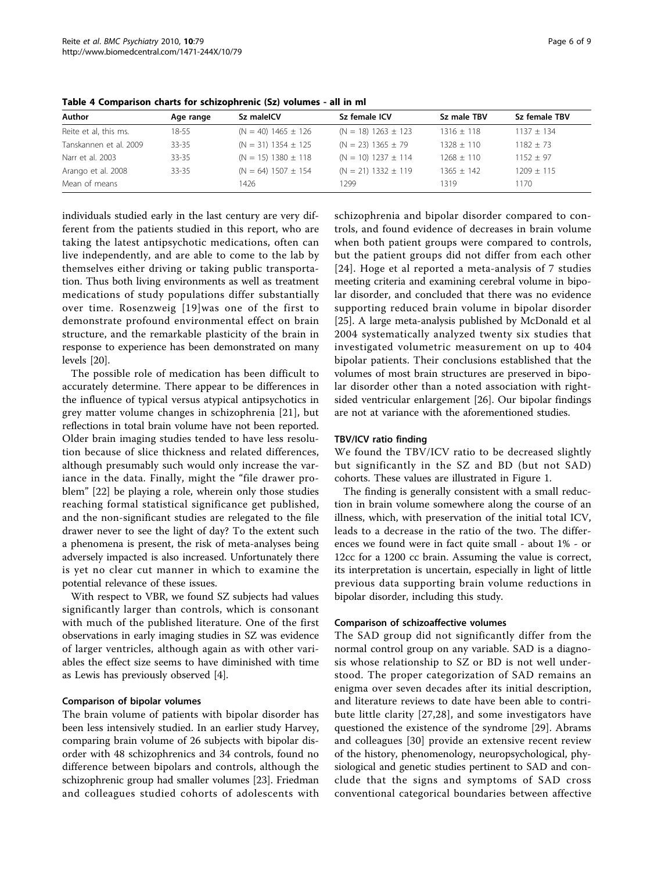| Author                 | Age range | Sz maleICV                | Sz female ICV             | Sz male TBV    | Sz female TBV  |
|------------------------|-----------|---------------------------|---------------------------|----------------|----------------|
| Reite et al, this ms.  | $18 - 55$ | $(N = 40)$ 1465 $\pm$ 126 | $(N = 18) 1263 \pm 123$   | $1316 \pm 118$ | $1137 \pm 134$ |
| Tanskannen et al. 2009 | 33-35     | $(N = 31)$ 1354 $\pm$ 125 | $(N = 23)$ 1365 $\pm$ 79  | $1328 + 110$   | $1182 \pm 73$  |
| Narr et al. 2003       | $33 - 35$ | $(N = 15)$ 1380 $\pm$ 118 | $(N = 10)$ 1237 $\pm$ 114 | $1268 + 110$   | $1152 + 97$    |
| Arango et al. 2008     | 33-35     | $(N = 64)$ 1507 $\pm$ 154 | $(N = 21)$ 1332 $\pm$ 119 | $1365 + 142$   | $1209 \pm 115$ |
| Mean of means          |           | 1426                      | 1299                      | 1319           | 1170           |

<span id="page-5-0"></span>Table 4 Comparison charts for schizophrenic (Sz) volumes - all in ml

individuals studied early in the last century are very different from the patients studied in this report, who are taking the latest antipsychotic medications, often can live independently, and are able to come to the lab by themselves either driving or taking public transportation. Thus both living environments as well as treatment medications of study populations differ substantially over time. Rosenzweig [[19\]](#page-7-0)was one of the first to demonstrate profound environmental effect on brain structure, and the remarkable plasticity of the brain in response to experience has been demonstrated on many levels [\[20\]](#page-7-0).

The possible role of medication has been difficult to accurately determine. There appear to be differences in the influence of typical versus atypical antipsychotics in grey matter volume changes in schizophrenia [\[21\]](#page-7-0), but reflections in total brain volume have not been reported. Older brain imaging studies tended to have less resolution because of slice thickness and related differences, although presumably such would only increase the variance in the data. Finally, might the "file drawer problem" [\[22](#page-7-0)] be playing a role, wherein only those studies reaching formal statistical significance get published, and the non-significant studies are relegated to the file drawer never to see the light of day? To the extent such a phenomena is present, the risk of meta-analyses being adversely impacted is also increased. Unfortunately there is yet no clear cut manner in which to examine the potential relevance of these issues.

With respect to VBR, we found SZ subjects had values significantly larger than controls, which is consonant with much of the published literature. One of the first observations in early imaging studies in SZ was evidence of larger ventricles, although again as with other variables the effect size seems to have diminished with time as Lewis has previously observed [[4\]](#page-7-0).

#### Comparison of bipolar volumes

The brain volume of patients with bipolar disorder has been less intensively studied. In an earlier study Harvey, comparing brain volume of 26 subjects with bipolar disorder with 48 schizophrenics and 34 controls, found no difference between bipolars and controls, although the schizophrenic group had smaller volumes [[23](#page-7-0)]. Friedman and colleagues studied cohorts of adolescents with schizophrenia and bipolar disorder compared to controls, and found evidence of decreases in brain volume when both patient groups were compared to controls, but the patient groups did not differ from each other [[24\]](#page-7-0). Hoge et al reported a meta-analysis of 7 studies meeting criteria and examining cerebral volume in bipolar disorder, and concluded that there was no evidence supporting reduced brain volume in bipolar disorder [[25\]](#page-7-0). A large meta-analysis published by McDonald et al 2004 systematically analyzed twenty six studies that investigated volumetric measurement on up to 404 bipolar patients. Their conclusions established that the volumes of most brain structures are preserved in bipolar disorder other than a noted association with rightsided ventricular enlargement [[26\]](#page-8-0). Our bipolar findings are not at variance with the aforementioned studies.

## TBV/ICV ratio finding

We found the TBV/ICV ratio to be decreased slightly but significantly in the SZ and BD (but not SAD) cohorts. These values are illustrated in Figure [1.](#page-6-0)

The finding is generally consistent with a small reduction in brain volume somewhere along the course of an illness, which, with preservation of the initial total ICV, leads to a decrease in the ratio of the two. The differences we found were in fact quite small - about 1% - or 12cc for a 1200 cc brain. Assuming the value is correct, its interpretation is uncertain, especially in light of little previous data supporting brain volume reductions in bipolar disorder, including this study.

## Comparison of schizoaffective volumes

The SAD group did not significantly differ from the normal control group on any variable. SAD is a diagnosis whose relationship to SZ or BD is not well understood. The proper categorization of SAD remains an enigma over seven decades after its initial description, and literature reviews to date have been able to contribute little clarity [[27](#page-8-0),[28](#page-8-0)], and some investigators have questioned the existence of the syndrome [\[29](#page-8-0)]. Abrams and colleagues [[30\]](#page-8-0) provide an extensive recent review of the history, phenomenology, neuropsychological, physiological and genetic studies pertinent to SAD and conclude that the signs and symptoms of SAD cross conventional categorical boundaries between affective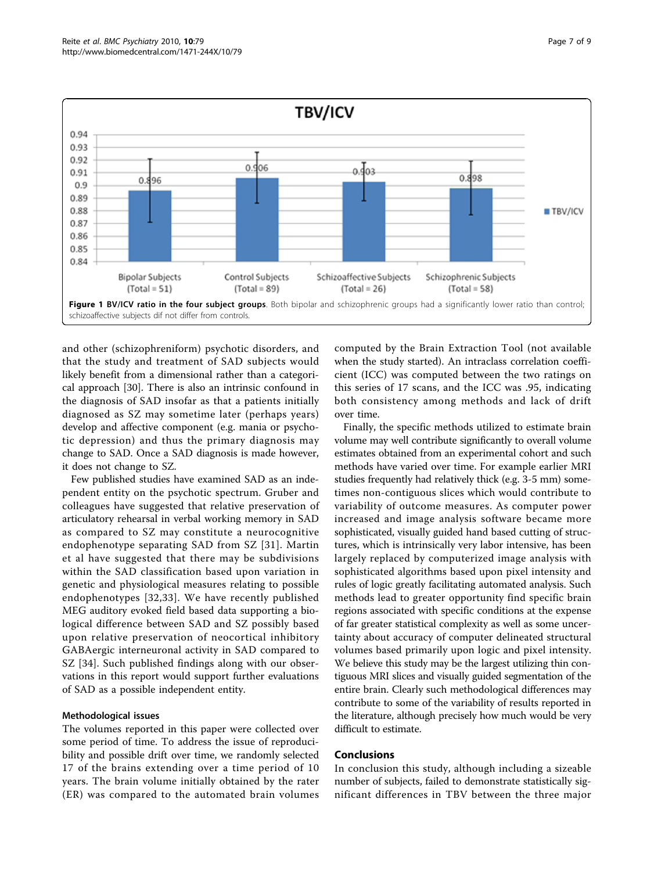<span id="page-6-0"></span>

and other (schizophreniform) psychotic disorders, and that the study and treatment of SAD subjects would likely benefit from a dimensional rather than a categorical approach [[30](#page-8-0)]. There is also an intrinsic confound in the diagnosis of SAD insofar as that a patients initially diagnosed as SZ may sometime later (perhaps years) develop and affective component (e.g. mania or psychotic depression) and thus the primary diagnosis may change to SAD. Once a SAD diagnosis is made however, it does not change to SZ.

Few published studies have examined SAD as an independent entity on the psychotic spectrum. Gruber and colleagues have suggested that relative preservation of articulatory rehearsal in verbal working memory in SAD as compared to SZ may constitute a neurocognitive endophenotype separating SAD from SZ [[31](#page-8-0)]. Martin et al have suggested that there may be subdivisions within the SAD classification based upon variation in genetic and physiological measures relating to possible endophenotypes [[32](#page-8-0),[33](#page-8-0)]. We have recently published MEG auditory evoked field based data supporting a biological difference between SAD and SZ possibly based upon relative preservation of neocortical inhibitory GABAergic interneuronal activity in SAD compared to SZ [[34\]](#page-8-0). Such published findings along with our observations in this report would support further evaluations of SAD as a possible independent entity.

## Methodological issues

The volumes reported in this paper were collected over some period of time. To address the issue of reproducibility and possible drift over time, we randomly selected 17 of the brains extending over a time period of 10 years. The brain volume initially obtained by the rater (ER) was compared to the automated brain volumes computed by the Brain Extraction Tool (not available when the study started). An intraclass correlation coefficient (ICC) was computed between the two ratings on this series of 17 scans, and the ICC was .95, indicating both consistency among methods and lack of drift over time.

Finally, the specific methods utilized to estimate brain volume may well contribute significantly to overall volume estimates obtained from an experimental cohort and such methods have varied over time. For example earlier MRI studies frequently had relatively thick (e.g. 3-5 mm) sometimes non-contiguous slices which would contribute to variability of outcome measures. As computer power increased and image analysis software became more sophisticated, visually guided hand based cutting of structures, which is intrinsically very labor intensive, has been largely replaced by computerized image analysis with sophisticated algorithms based upon pixel intensity and rules of logic greatly facilitating automated analysis. Such methods lead to greater opportunity find specific brain regions associated with specific conditions at the expense of far greater statistical complexity as well as some uncertainty about accuracy of computer delineated structural volumes based primarily upon logic and pixel intensity. We believe this study may be the largest utilizing thin contiguous MRI slices and visually guided segmentation of the entire brain. Clearly such methodological differences may contribute to some of the variability of results reported in the literature, although precisely how much would be very difficult to estimate.

## Conclusions

In conclusion this study, although including a sizeable number of subjects, failed to demonstrate statistically significant differences in TBV between the three major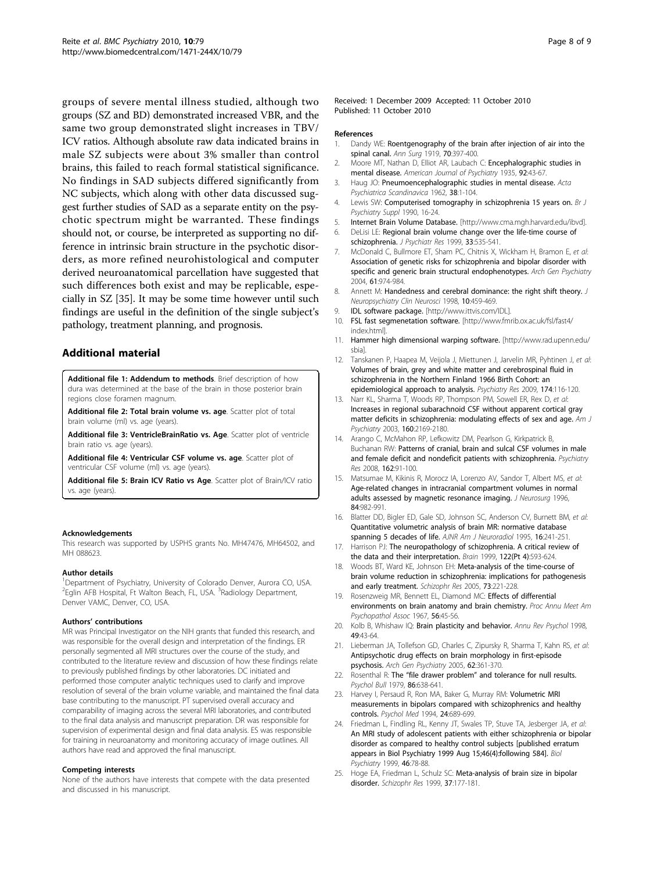<span id="page-7-0"></span>groups of severe mental illness studied, although two groups (SZ and BD) demonstrated increased VBR, and the same two group demonstrated slight increases in TBV/ ICV ratios. Although absolute raw data indicated brains in male SZ subjects were about 3% smaller than control brains, this failed to reach formal statistical significance. No findings in SAD subjects differed significantly from NC subjects, which along with other data discussed suggest further studies of SAD as a separate entity on the psychotic spectrum might be warranted. These findings should not, or course, be interpreted as supporting no difference in intrinsic brain structure in the psychotic disorders, as more refined neurohistological and computer derived neuroanatomical parcellation have suggested that such differences both exist and may be replicable, especially in SZ [\[35](#page-8-0)]. It may be some time however until such findings are useful in the definition of the single subject's pathology, treatment planning, and prognosis.

## Additional material

[Additional file 1: A](http://www.biomedcentral.com/content/supplementary/1471-244X-10-79-S1.DOC)ddendum to methods. Brief description of how dura was determined at the base of the brain in those posterior brain regions close foramen magnum.

[Additional file 2: T](http://www.biomedcentral.com/content/supplementary/1471-244X-10-79-S2.PDF)otal brain volume vs. age. Scatter plot of total brain volume (ml) vs. age (years).

[Additional file 3: V](http://www.biomedcentral.com/content/supplementary/1471-244X-10-79-S3.PDF)entricleBrainRatio vs. Age. Scatter plot of ventricle brain ratio vs. age (years).

[Additional file 4: V](http://www.biomedcentral.com/content/supplementary/1471-244X-10-79-S4.PDF)entricular CSF volume vs. age. Scatter plot of ventricular CSF volume (ml) vs. age (years).

[Additional file 5: B](http://www.biomedcentral.com/content/supplementary/1471-244X-10-79-S5.PDF)rain ICV Ratio vs Age. Scatter plot of Brain/ICV ratio vs. age (years).

#### Acknowledgements

This research was supported by USPHS grants No. MH47476, MH64502, and MH 088623.

#### Author details

<sup>1</sup>Department of Psychiatry, University of Colorado Denver, Aurora CO, USA. <sup>2</sup>Eglin AFB Hospital, Ft Walton Beach, FL, USA. <sup>3</sup>Radiology Department, Denver VAMC, Denver, CO, USA.

#### Authors' contributions

MR was Principal Investigator on the NIH grants that funded this research, and was responsible for the overall design and interpretation of the findings. ER personally segmented all MRI structures over the course of the study, and contributed to the literature review and discussion of how these findings relate to previously published findings by other laboratories. DC initiated and performed those computer analytic techniques used to clarify and improve resolution of several of the brain volume variable, and maintained the final data base contributing to the manuscript. PT supervised overall accuracy and comparability of imaging across the several MRI laboratories, and contributed to the final data analysis and manuscript preparation. DR was responsible for supervision of experimental design and final data analysis. ES was responsible for training in neuroanatomy and monitoring accuracy of image outlines. All authors have read and approved the final manuscript.

#### Competing interests

None of the authors have interests that compete with the data presented and discussed in his manuscript.

Received: 1 December 2009 Accepted: 11 October 2010 Published: 11 October 2010

#### References

- 1. Dandy WE: [Roentgenography of the brain after injection of air into the](http://www.ncbi.nlm.nih.gov/pubmed/17864170?dopt=Abstract) [spinal canal.](http://www.ncbi.nlm.nih.gov/pubmed/17864170?dopt=Abstract) Ann Surg 1919, 70:397-400.
- 2. Moore MT, Nathan D, Elliot AR, Laubach C: Encephalographic studies in mental disease. American Journal of Psychiatry 1935, 92:43-67.
- 3. Haug JO: [Pneumoencephalographic studies in mental disease.](http://www.ncbi.nlm.nih.gov/pubmed/13894598?dopt=Abstract) Acta Psychiatrica Scandinavica 1962, 38:1-104.
- 4. Lewis SW: [Computerised tomography in schizophrenia 15 years on.](http://www.ncbi.nlm.nih.gov/pubmed/2132566?dopt=Abstract) Br J Psychiatry Suppl 1990, 16-24.
- 5. Internet Brain Volume Database. [\[http://www.cma.mgh.harvard.edu/ibvd](http://www.cma.mgh.harvard.edu/ibvd)].
- 6. DeLisi LE: [Regional brain volume change over the life-time course of](http://www.ncbi.nlm.nih.gov/pubmed/10628530?dopt=Abstract) [schizophrenia.](http://www.ncbi.nlm.nih.gov/pubmed/10628530?dopt=Abstract) J Psychiatr Res 1999, 33:535-541.
- McDonald C, Bullmore ET, Sham PC, Chitnis X, Wickham H, Bramon E, et al: [Association of genetic risks for schizophrenia and bipolar disorder with](http://www.ncbi.nlm.nih.gov/pubmed/15466670?dopt=Abstract) [specific and generic brain structural endophenotypes.](http://www.ncbi.nlm.nih.gov/pubmed/15466670?dopt=Abstract) Arch Gen Psychiatry 2004, 61:974-984.
- 8. Annett M: [Handedness and cerebral dominance: the right shift theory.](http://www.ncbi.nlm.nih.gov/pubmed/9813794?dopt=Abstract) J Neuropsychiatry Clin Neurosci 1998, 10:459-469.
- 9. IDL software package. [[http://www.ittvis.com/IDL\]](http://www.ittvis.com/IDL).
- 10. FSL fast segmenetation software. [\[http://www.fmrib.ox.ac.uk/fsl/fast4/](http://www.fmrib.ox.ac.uk/fsl/fast4/index.html) [index.html\]](http://www.fmrib.ox.ac.uk/fsl/fast4/index.html).
- 11. Hammer high dimensional warping software. [[http://www.rad.upenn.edu/](http://www.rad.upenn.edu/sbia) [sbia\]](http://www.rad.upenn.edu/sbia).
- 12. Tanskanen P, Haapea M, Veijola J, Miettunen J, Jarvelin MR, Pyhtinen J, et al: [Volumes of brain, grey and white matter and cerebrospinal fluid in](http://www.ncbi.nlm.nih.gov/pubmed/19853416?dopt=Abstract) [schizophrenia in the Northern Finland 1966 Birth Cohort: an](http://www.ncbi.nlm.nih.gov/pubmed/19853416?dopt=Abstract) [epidemiological approach to analysis.](http://www.ncbi.nlm.nih.gov/pubmed/19853416?dopt=Abstract) Psychiatry Res 2009, 174:116-120.
- 13. Narr KL, Sharma T, Woods RP, Thompson PM, Sowell ER, Rex D, et al: [Increases in regional subarachnoid CSF without apparent cortical gray](http://www.ncbi.nlm.nih.gov/pubmed/14638587?dopt=Abstract) [matter deficits in schizophrenia: modulating effects of sex and age.](http://www.ncbi.nlm.nih.gov/pubmed/14638587?dopt=Abstract) Am J Psychiatry 2003, 160:2169-2180.
- 14. Arango C, McMahon RP, Lefkowitz DM, Pearlson G, Kirkpatrick B, Buchanan RW: [Patterns of cranial, brain and sulcal CSF volumes in male](http://www.ncbi.nlm.nih.gov/pubmed/18201875?dopt=Abstract) [and female deficit and nondeficit patients with schizophrenia.](http://www.ncbi.nlm.nih.gov/pubmed/18201875?dopt=Abstract) Psychiatry Res 2008, 162:91-100.
- 15. Matsumae M, Kikinis R, Morocz IA, Lorenzo AV, Sandor T, Albert MS, et al: [Age-related changes in intracranial compartment volumes in normal](http://www.ncbi.nlm.nih.gov/pubmed/8847593?dopt=Abstract) [adults assessed by magnetic resonance imaging.](http://www.ncbi.nlm.nih.gov/pubmed/8847593?dopt=Abstract) J Neurosurg 1996, 84:982-991.
- 16. Blatter DD, Bigler ED, Gale SD, Johnson SC, Anderson CV, Burnett BM, et al: [Quantitative volumetric analysis of brain MR: normative database](http://www.ncbi.nlm.nih.gov/pubmed/7726068?dopt=Abstract) [spanning 5 decades of life.](http://www.ncbi.nlm.nih.gov/pubmed/7726068?dopt=Abstract) AJNR Am J Neuroradiol 1995, 16:241-251.
- 17. Harrison PJ: [The neuropathology of schizophrenia. A critical review of](http://www.ncbi.nlm.nih.gov/pubmed/10219775?dopt=Abstract) [the data and their interpretation.](http://www.ncbi.nlm.nih.gov/pubmed/10219775?dopt=Abstract) Brain 1999, 122(Pt 4):593-624.
- 18. Woods BT, Ward KE, Johnson EH: [Meta-analysis of the time-course of](http://www.ncbi.nlm.nih.gov/pubmed/15653264?dopt=Abstract) [brain volume reduction in schizophrenia: implications for pathogenesis](http://www.ncbi.nlm.nih.gov/pubmed/15653264?dopt=Abstract) [and early treatment.](http://www.ncbi.nlm.nih.gov/pubmed/15653264?dopt=Abstract) Schizophr Res 2005, 73:221-228.
- 19. Rosenzweig MR, Bennett EL, Diamond MC: [Effects of differential](http://www.ncbi.nlm.nih.gov/pubmed/5630765?dopt=Abstract) [environments on brain anatomy and brain chemistry.](http://www.ncbi.nlm.nih.gov/pubmed/5630765?dopt=Abstract) Proc Annu Meet Am Psychopathol Assoc 1967, 56:45-56.
- 20. Kolb B, Whishaw IQ: [Brain plasticity and behavior.](http://www.ncbi.nlm.nih.gov/pubmed/9496621?dopt=Abstract) Annu Rev Psychol 1998, 49:43-64.
- 21. Lieberman JA, Tollefson GD, Charles C, Zipursky R, Sharma T, Kahn RS, et al: [Antipsychotic drug effects on brain morphology in first-episode](http://www.ncbi.nlm.nih.gov/pubmed/15809403?dopt=Abstract) [psychosis.](http://www.ncbi.nlm.nih.gov/pubmed/15809403?dopt=Abstract) Arch Gen Psychiatry 2005, 62:361-370.
- 22. Rosenthal R: The "file drawer problem" and tolerance for null results. Psychol Bull 1979, 86:638-641.
- 23. Harvey I, Persaud R, Ron MA, Baker G, Murray RM: [Volumetric MRI](http://www.ncbi.nlm.nih.gov/pubmed/7991751?dopt=Abstract) [measurements in bipolars compared with schizophrenics and healthy](http://www.ncbi.nlm.nih.gov/pubmed/7991751?dopt=Abstract) [controls.](http://www.ncbi.nlm.nih.gov/pubmed/7991751?dopt=Abstract) Psychol Med 1994, 24:689-699.
- 24. Friedman L, Findling RL, Kenny JT, Swales TP, Stuve TA, Jesberger JA, et al: [An MRI study of adolescent patients with either schizophrenia or bipolar](http://www.ncbi.nlm.nih.gov/pubmed/10394476?dopt=Abstract) [disorder as compared to healthy control subjects \[published erratum](http://www.ncbi.nlm.nih.gov/pubmed/10394476?dopt=Abstract) [appears in Biol Psychiatry 1999 Aug 15;46\(4\):following 584\].](http://www.ncbi.nlm.nih.gov/pubmed/10394476?dopt=Abstract) Biol Psychiatry 1999, 46:78-88.
- 25. Hoge EA, Friedman L, Schulz SC: [Meta-analysis of brain size in bipolar](http://www.ncbi.nlm.nih.gov/pubmed/10374652?dopt=Abstract) [disorder.](http://www.ncbi.nlm.nih.gov/pubmed/10374652?dopt=Abstract) Schizophr Res 1999, 37:177-181.